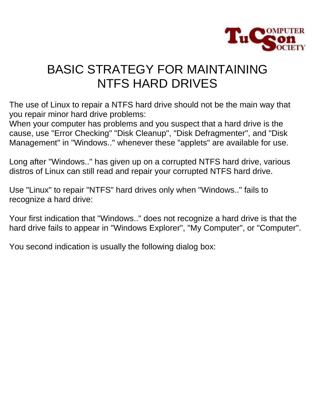

## BASIC STRATEGY FOR MAINTAINING NTFS HARD DRIVES

The use of Linux to repair a NTFS hard drive should not be the main way that you repair minor hard drive problems:

When your computer has problems and you suspect that a hard drive is the cause, use "Error Checking" "Disk Cleanup", "Disk Defragmenter", and "Disk Management" in "Windows.." whenever these "applets" are available for use.

Long after "Windows.." has given up on a corrupted NTFS hard drive, various distros of Linux can still read and repair your corrupted NTFS hard drive.

Use "Linux" to repair "NTFS" hard drives only when "Windows.." fails to recognize a hard drive:

Your first indication that "Windows.." does not recognize a hard drive is that the hard drive fails to appear in "Windows Explorer", "My Computer", or "Computer".

You second indication is usually the following dialog box: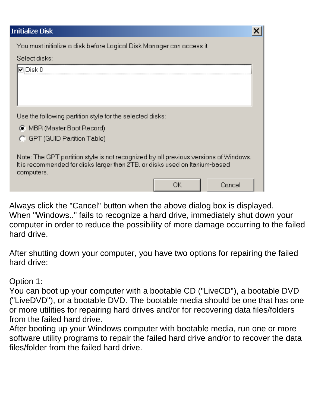| nitialize Disk)                                                                                                                                                     |
|---------------------------------------------------------------------------------------------------------------------------------------------------------------------|
| You must initialize a disk before Logical Disk Manager can access it.                                                                                               |
| Select disks:                                                                                                                                                       |
| Disk 0                                                                                                                                                              |
|                                                                                                                                                                     |
|                                                                                                                                                                     |
|                                                                                                                                                                     |
| Use the following partition style for the selected disks:                                                                                                           |
| ● MBR (Master Boot Record)                                                                                                                                          |
| G GPT (GUID Partition Table)                                                                                                                                        |
|                                                                                                                                                                     |
| Note: The GPT partition style is not recognized by all previous versions of Windows.<br>It is recommended for disks larger than 2TB, or disks used on Itanium-based |
| computers.                                                                                                                                                          |
| nκ<br>Cancel                                                                                                                                                        |

Always click the "Cancel" button when the above dialog box is displayed. When "Windows.." fails to recognize a hard drive, immediately shut down your computer in order to reduce the possibility of more damage occurring to the failed hard drive.

After shutting down your computer, you have two options for repairing the failed hard drive:

## Option 1:

You can boot up your computer with a bootable CD ("LiveCD"), a bootable DVD ("LiveDVD"), or a bootable DVD. The bootable media should be one that has one or more utilities for repairing hard drives and/or for recovering data files/folders from the failed hard drive.

After booting up your Windows computer with bootable media, run one or more software utility programs to repair the failed hard drive and/or to recover the data files/folder from the failed hard drive.